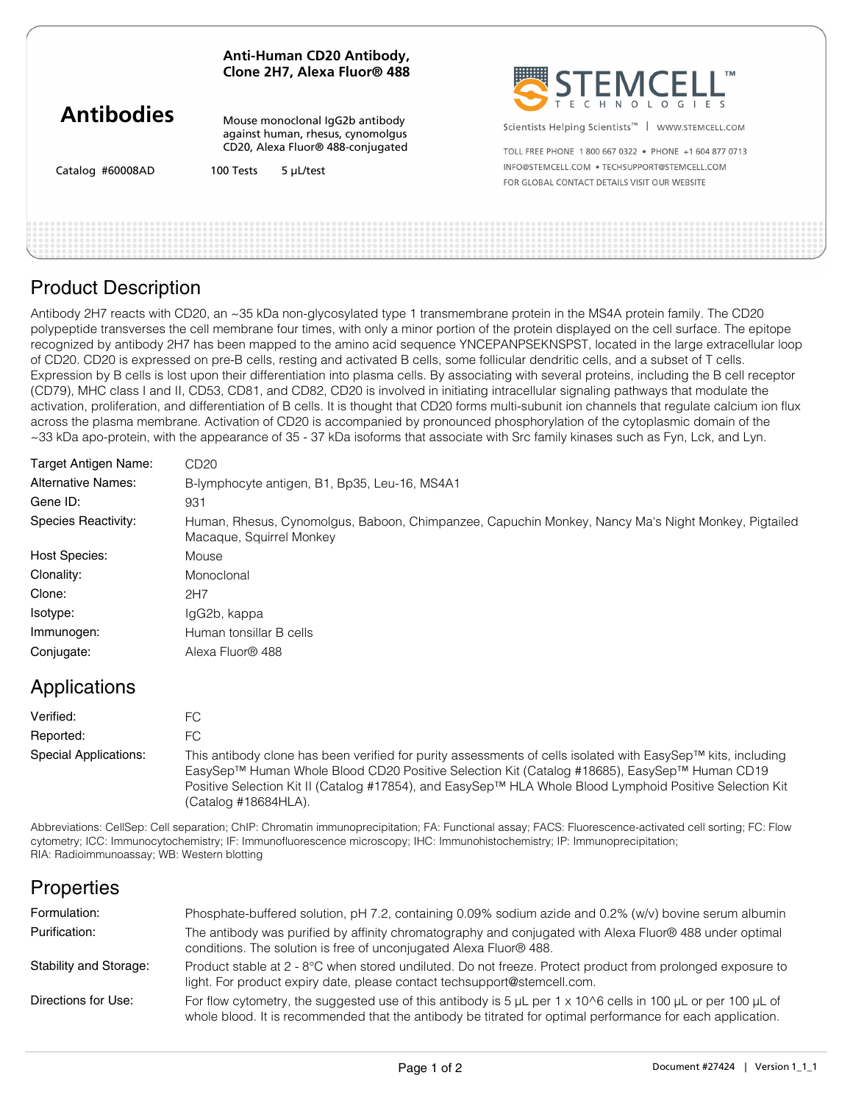| Anti-Human CD20 Antibody,   |  |
|-----------------------------|--|
| Clone 2H7, Alexa Fluor® 488 |  |



Mouse monoclonal IgG2b antibody against human, rhesus, cynomolgus CD20, Alexa Fluor® 488-conjugated



Scientists Helping Scientists<sup>™</sup> | WWW.STEMCELL.COM

TOLL FREE PHONE 1 800 667 0322 · PHONE +1 604 877 0713 INFO@STEMCELL.COM . TECHSUPPORT@STEMCELL.COM FOR GLOBAL CONTACT DETAILS VISIT OUR WERSITE

Catalog #60008AD 100 Tests 5 μL/test

## Product Description

Antibody 2H7 reacts with CD20, an ~35 kDa non-glycosylated type 1 transmembrane protein in the MS4A protein family. The CD20 polypeptide transverses the cell membrane four times, with only a minor portion of the protein displayed on the cell surface. The epitope recognized by antibody 2H7 has been mapped to the amino acid sequence YNCEPANPSEKNSPST, located in the large extracellular loop of CD20. CD20 is expressed on pre-B cells, resting and activated B cells, some follicular dendritic cells, and a subset of T cells. Expression by B cells is lost upon their differentiation into plasma cells. By associating with several proteins, including the B cell receptor (CD79), MHC class I and II, CD53, CD81, and CD82, CD20 is involved in initiating intracellular signaling pathways that modulate the activation, proliferation, and differentiation of B cells. It is thought that CD20 forms multi-subunit ion channels that regulate calcium ion flux across the plasma membrane. Activation of CD20 is accompanied by pronounced phosphorylation of the cytoplasmic domain of the ~33 kDa apo-protein, with the appearance of 35 - 37 kDa isoforms that associate with Src family kinases such as Fyn, Lck, and Lyn.

| Target Antigen Name:      | CD <sub>20</sub>                                                                                                               |
|---------------------------|--------------------------------------------------------------------------------------------------------------------------------|
| <b>Alternative Names:</b> | B-lymphocyte antigen, B1, Bp35, Leu-16, MS4A1                                                                                  |
| Gene ID:                  | 931                                                                                                                            |
| Species Reactivity:       | Human, Rhesus, Cynomolgus, Baboon, Chimpanzee, Capuchin Monkey, Nancy Ma's Night Monkey, Pigtailed<br>Macaque, Squirrel Monkey |
| Host Species:             | Mouse                                                                                                                          |
| Clonality:                | Monoclonal                                                                                                                     |
| Clone:                    | 2H7                                                                                                                            |
| Isotype:                  | IgG2b, kappa                                                                                                                   |
| Immunogen:                | Human tonsillar B cells                                                                                                        |
| Conjugate:                | Alexa Fluor® 488                                                                                                               |

## Applications

| Verified:             | FC.                                                                                                                                                                                                                                                                                                                                              |
|-----------------------|--------------------------------------------------------------------------------------------------------------------------------------------------------------------------------------------------------------------------------------------------------------------------------------------------------------------------------------------------|
| Reported:             | FC.                                                                                                                                                                                                                                                                                                                                              |
| Special Applications: | This antibody clone has been verified for purity assessments of cells isolated with EasySep™ kits, including<br>EasySep™ Human Whole Blood CD20 Positive Selection Kit (Catalog #18685), EasySep™ Human CD19<br>Positive Selection Kit II (Catalog #17854), and EasySep™ HLA Whole Blood Lymphoid Positive Selection Kit<br>(Catalog #18684HLA). |

Abbreviations: CellSep: Cell separation; ChIP: Chromatin immunoprecipitation; FA: Functional assay; FACS: Fluorescence-activated cell sorting; FC: Flow cytometry; ICC: Immunocytochemistry; IF: Immunofluorescence microscopy; IHC: Immunohistochemistry; IP: Immunoprecipitation; RIA: Radioimmunoassay; WB: Western blotting

## **Properties**

| Formulation:           | Phosphate-buffered solution, pH 7.2, containing 0.09% sodium azide and 0.2% (w/v) bovine serum albumin                                                                                                                                    |
|------------------------|-------------------------------------------------------------------------------------------------------------------------------------------------------------------------------------------------------------------------------------------|
| Purification:          | The antibody was purified by affinity chromatography and conjugated with Alexa Fluor® 488 under optimal<br>conditions. The solution is free of unconjugated Alexa Fluor® 488.                                                             |
| Stability and Storage: | Product stable at 2 - 8°C when stored undiluted. Do not freeze. Protect product from prolonged exposure to<br>light. For product expiry date, please contact techsupport@stemcell.com.                                                    |
| Directions for Use:    | For flow cytometry, the suggested use of this antibody is 5 $\mu$ L per 1 x 10^6 cells in 100 $\mu$ L or per 100 $\mu$ L of<br>whole blood. It is recommended that the antibody be titrated for optimal performance for each application. |